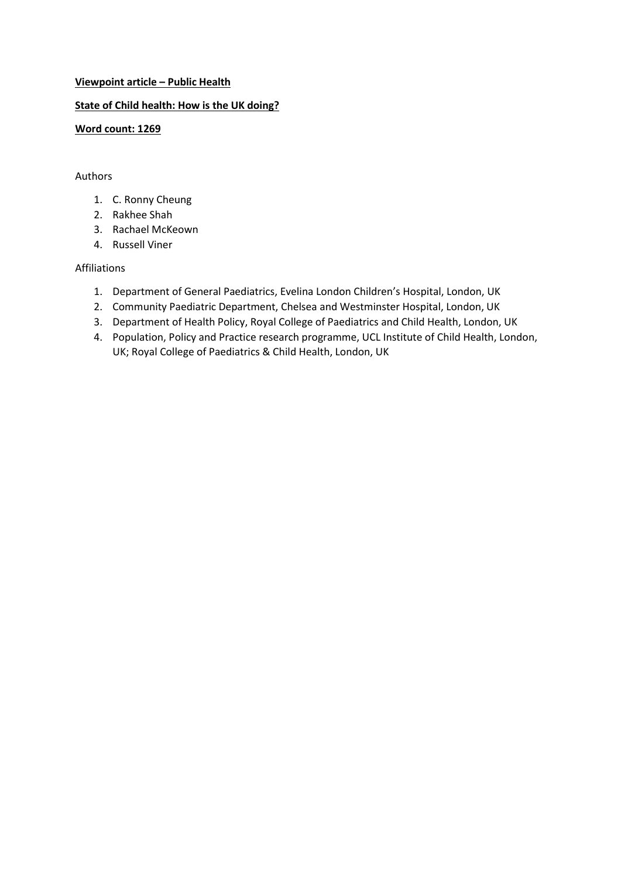# **Viewpoint article – Public Health**

# **State of Child health: How is the UK doing?**

# **Word count: 1269**

### Authors

- 1. C. Ronny Cheung
- 2. Rakhee Shah
- 3. Rachael McKeown
- 4. Russell Viner

# Affiliations

- 1. Department of General Paediatrics, Evelina London Children's Hospital, London, UK
- 2. Community Paediatric Department, Chelsea and Westminster Hospital, London, UK
- 3. Department of Health Policy, Royal College of Paediatrics and Child Health, London, UK
- 4. Population, Policy and Practice research programme, UCL Institute of Child Health, London, UK; Royal College of Paediatrics & Child Health, London, UK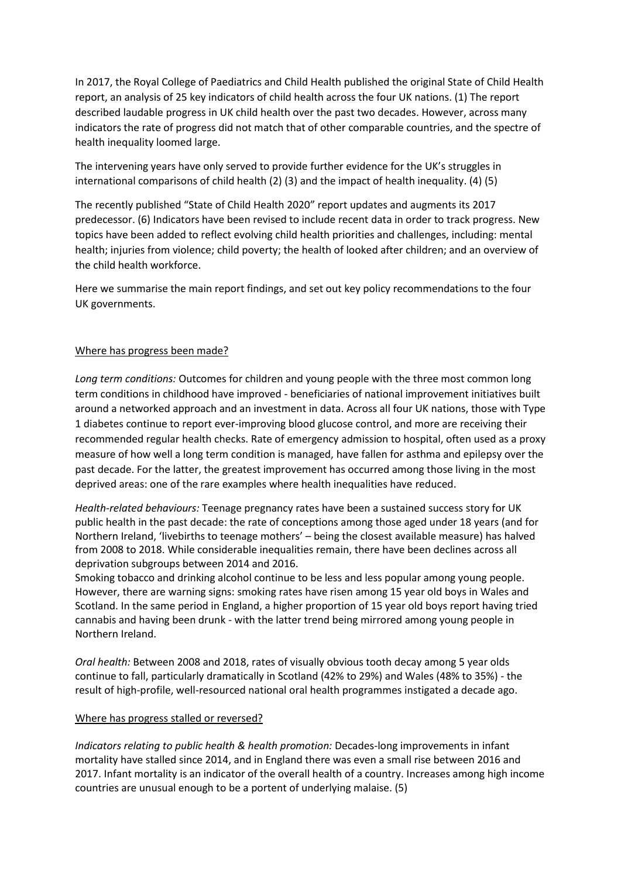In 2017, the Royal College of Paediatrics and Child Health published the original State of Child Health report, an analysis of 25 key indicators of child health across the four UK nations. (1) The report described laudable progress in UK child health over the past two decades. However, across many indicators the rate of progress did not match that of other comparable countries, and the spectre of health inequality loomed large.

The intervening years have only served to provide further evidence for the UK's struggles in international comparisons of child health (2) (3) and the impact of health inequality. (4) (5)

The recently published "State of Child Health 2020" report updates and augments its 2017 predecessor. (6) Indicators have been revised to include recent data in order to track progress. New topics have been added to reflect evolving child health priorities and challenges, including: mental health; injuries from violence; child poverty; the health of looked after children; and an overview of the child health workforce.

Here we summarise the main report findings, and set out key policy recommendations to the four UK governments.

# Where has progress been made?

*Long term conditions:* Outcomes for children and young people with the three most common long term conditions in childhood have improved - beneficiaries of national improvement initiatives built around a networked approach and an investment in data. Across all four UK nations, those with Type 1 diabetes continue to report ever-improving blood glucose control, and more are receiving their recommended regular health checks. Rate of emergency admission to hospital, often used as a proxy measure of how well a long term condition is managed, have fallen for asthma and epilepsy over the past decade. For the latter, the greatest improvement has occurred among those living in the most deprived areas: one of the rare examples where health inequalities have reduced.

*Health-related behaviours:* Teenage pregnancy rates have been a sustained success story for UK public health in the past decade: the rate of conceptions among those aged under 18 years (and for Northern Ireland, 'livebirths to teenage mothers' – being the closest available measure) has halved from 2008 to 2018. While considerable inequalities remain, there have been declines across all deprivation subgroups between 2014 and 2016.

Smoking tobacco and drinking alcohol continue to be less and less popular among young people. However, there are warning signs: smoking rates have risen among 15 year old boys in Wales and Scotland. In the same period in England, a higher proportion of 15 year old boys report having tried cannabis and having been drunk - with the latter trend being mirrored among young people in Northern Ireland.

*Oral health:* Between 2008 and 2018, rates of visually obvious tooth decay among 5 year olds continue to fall, particularly dramatically in Scotland (42% to 29%) and Wales (48% to 35%) - the result of high-profile, well-resourced national oral health programmes instigated a decade ago.

#### Where has progress stalled or reversed?

*Indicators relating to public health & health promotion:* Decades-long improvements in infant mortality have stalled since 2014, and in England there was even a small rise between 2016 and 2017. Infant mortality is an indicator of the overall health of a country. Increases among high income countries are unusual enough to be a portent of underlying malaise. (5)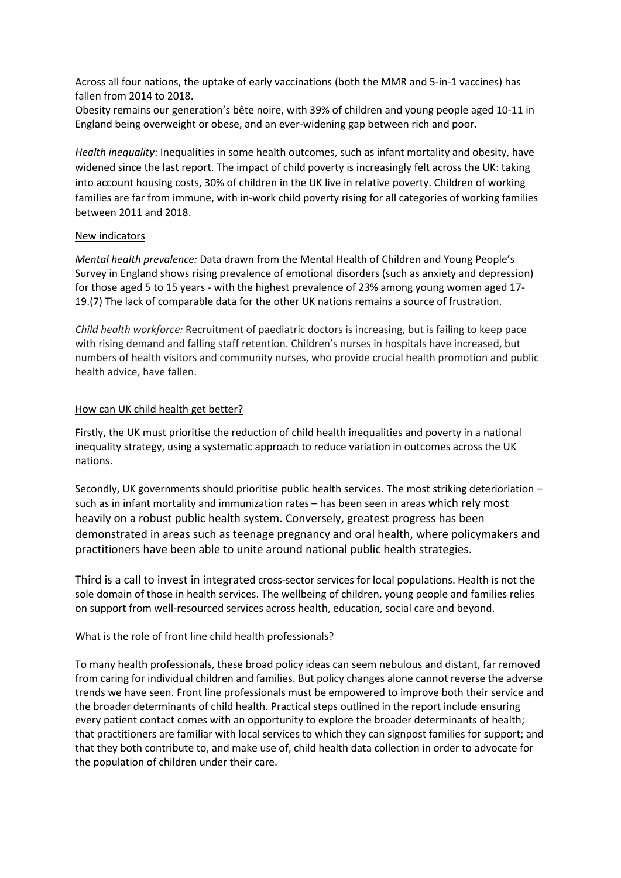Across all four nations, the uptake of early vaccinations (both the MMR and 5-in-1 vaccines) has fallen from 2014 to 2018.

Obesity remains our generation's bête noire, with 39% of children and young people aged 10-11 in England being overweight or obese, and an ever-widening gap between rich and poor.

*Health inequality*: Inequalities in some health outcomes, such as infant mortality and obesity, have widened since the last report. The impact of child poverty is increasingly felt across the UK: taking into account housing costs, 30% of children in the UK live in relative poverty. Children of working families are far from immune, with in-work child poverty rising for all categories of working families between 2011 and 2018.

#### New indicators

*Mental health prevalence:* Data drawn from the Mental Health of Children and Young People's Survey in England shows rising prevalence of emotional disorders (such as anxiety and depression) for those aged 5 to 15 years - with the highest prevalence of 23% among young women aged 17- 19.(7) The lack of comparable data for the other UK nations remains a source of frustration.

*Child health workforce:* Recruitment of paediatric doctors is increasing, but is failing to keep pace with rising demand and falling staff retention. Children's nurses in hospitals have increased, but numbers of health visitors and community nurses, who provide crucial health promotion and public health advice, have fallen.

# How can UK child health get better?

Firstly, the UK must prioritise the reduction of child health inequalities and poverty in a national inequality strategy, using a systematic approach to reduce variation in outcomes across the UK nations.

Secondly, UK governments should prioritise public health services. The most striking deterioriation – such as in infant mortality and immunization rates – has been seen in areas which rely most heavily on a robust public health system. Conversely, greatest progress has been demonstrated in areas such as teenage pregnancy and oral health, where policymakers and practitioners have been able to unite around national public health strategies.

Third is a call to invest in integrated cross-sector services for local populations. Health is not the sole domain of those in health services. The wellbeing of children, young people and families relies on support from well-resourced services across health, education, social care and beyond.

# What is the role of front line child health professionals?

To many health professionals, these broad policy ideas can seem nebulous and distant, far removed from caring for individual children and families. But policy changes alone cannot reverse the adverse trends we have seen. Front line professionals must be empowered to improve both their service and the broader determinants of child health. Practical steps outlined in the report include ensuring every patient contact comes with an opportunity to explore the broader determinants of health; that practitioners are familiar with local services to which they can signpost families for support; and that they both contribute to, and make use of, child health data collection in order to advocate for the population of children under their care.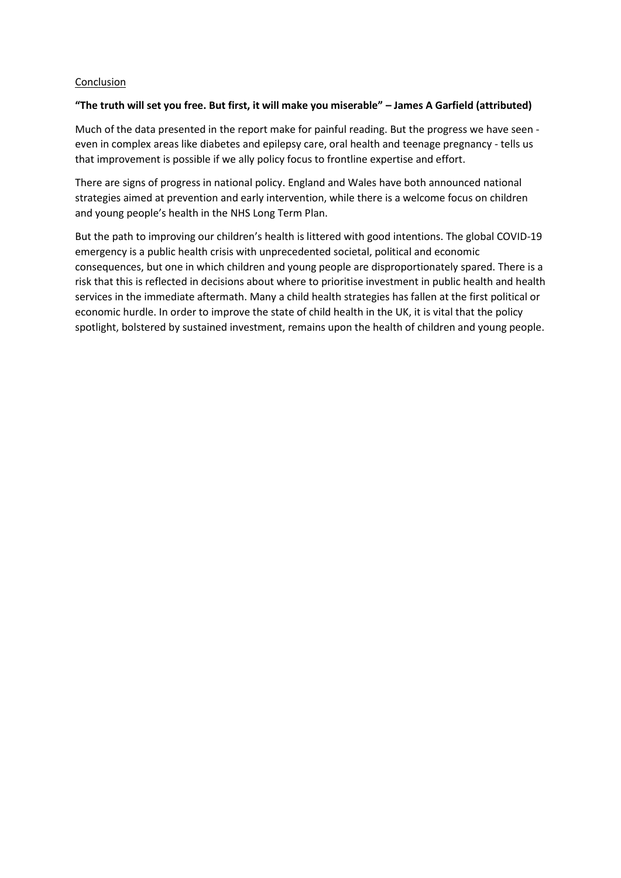### Conclusion

# **"The truth will set you free. But first, it will make you miserable" – James A Garfield (attributed)**

Much of the data presented in the report make for painful reading. But the progress we have seen even in complex areas like diabetes and epilepsy care, oral health and teenage pregnancy - tells us that improvement is possible if we ally policy focus to frontline expertise and effort.

There are signs of progress in national policy. England and Wales have both announced national strategies aimed at prevention and early intervention, while there is a welcome focus on children and young people's health in the NHS Long Term Plan.

But the path to improving our children's health is littered with good intentions. The global COVID-19 emergency is a public health crisis with unprecedented societal, political and economic consequences, but one in which children and young people are disproportionately spared. There is a risk that this is reflected in decisions about where to prioritise investment in public health and health services in the immediate aftermath. Many a child health strategies has fallen at the first political or economic hurdle. In order to improve the state of child health in the UK, it is vital that the policy spotlight, bolstered by sustained investment, remains upon the health of children and young people.